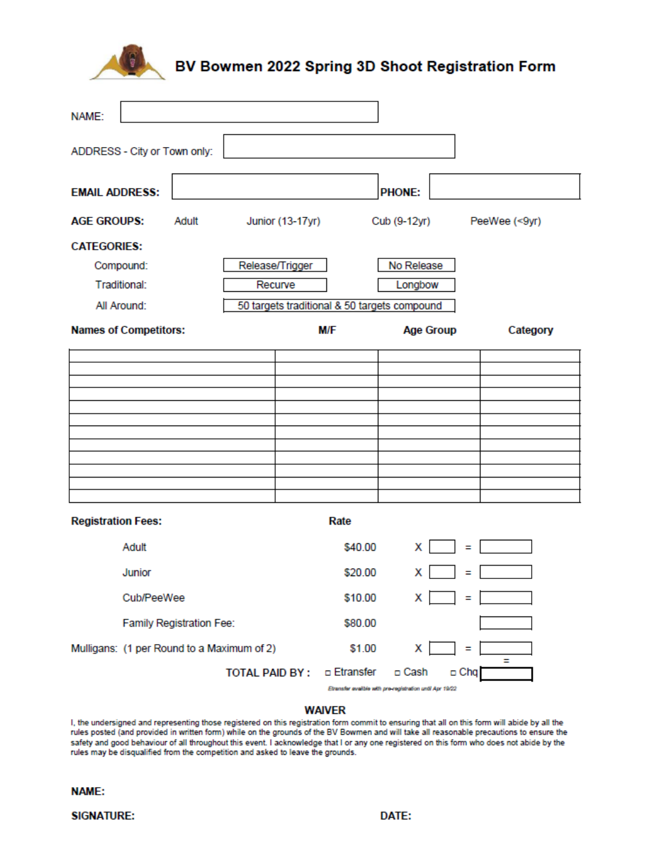

## BV Bowmen 2022 Spring 3D Shoot Registration Form

| NAME:                                                       |            |       |                       |                         |                                                                         |                  |          |               |  |
|-------------------------------------------------------------|------------|-------|-----------------------|-------------------------|-------------------------------------------------------------------------|------------------|----------|---------------|--|
| ADDRESS - City or Town only:                                |            |       |                       |                         |                                                                         |                  |          |               |  |
| <b>EMAIL ADDRESS:</b>                                       |            |       |                       |                         |                                                                         | <b>PHONE:</b>    |          |               |  |
| <b>AGE GROUPS:</b>                                          |            | Adult |                       | <b>Junior (13-17yr)</b> |                                                                         | Cub (9-12yr)     |          | PeeWee (<9yr) |  |
| <b>CATEGORIES:</b>                                          |            |       |                       |                         |                                                                         |                  |          |               |  |
| Compound:                                                   |            |       | Release/Trigger       |                         | No Release                                                              |                  |          |               |  |
| Traditional:                                                |            |       |                       | Recurve<br>Longbow      |                                                                         |                  |          |               |  |
| 50 targets traditional & 50 targets compound<br>All Around: |            |       |                       |                         |                                                                         |                  |          |               |  |
| <b>Names of Competitors:</b>                                |            |       |                       | <b>M/F</b>              |                                                                         | <b>Age Group</b> | Category |               |  |
|                                                             |            |       |                       |                         |                                                                         |                  |          |               |  |
|                                                             |            |       |                       |                         |                                                                         |                  |          |               |  |
|                                                             |            |       |                       |                         |                                                                         |                  |          |               |  |
|                                                             |            |       |                       |                         |                                                                         |                  |          |               |  |
|                                                             |            |       |                       |                         |                                                                         |                  |          |               |  |
|                                                             |            |       |                       |                         |                                                                         |                  |          |               |  |
|                                                             |            |       |                       |                         |                                                                         |                  |          |               |  |
|                                                             |            |       |                       |                         |                                                                         |                  |          |               |  |
| <b>Registration Fees:</b><br>Rate                           |            |       |                       |                         |                                                                         |                  |          |               |  |
|                                                             | Adult      |       |                       |                         | \$40.00                                                                 | х                | Ξ        |               |  |
|                                                             | Junior     |       |                       |                         | \$20.00                                                                 | х                | Ξ        |               |  |
|                                                             | Cub/PeeWee |       |                       |                         | \$10.00                                                                 | х                | Ξ        |               |  |
| Family Registration Fee:                                    |            |       |                       |                         | \$80.00                                                                 |                  |          |               |  |
| Mulligans: (1 per Round to a Maximum of 2)                  |            |       |                       |                         | \$1.00                                                                  | х                | Ξ        | Ξ             |  |
|                                                             |            |       | <b>TOTAL PAID BY:</b> |                         | □ Etransfer<br>Etransfer evailble with pre-registration until Apr 19/22 | □ Cash           | □ Chq    |               |  |

## **WAIVER**

I, the undersigned and representing those registered on this registration form commit to ensuring that all on this form will abide by all the rules posted (and provided in written form) while on the grounds of the BV Bowmen and will take all reasonable precautions to ensure the safety and good behaviour of all throughout this event. I acknowledge that I or any one registered on this form who does not abide by the rules may be disqualified from the competition and asked to leave the grounds.

## **NAME:**